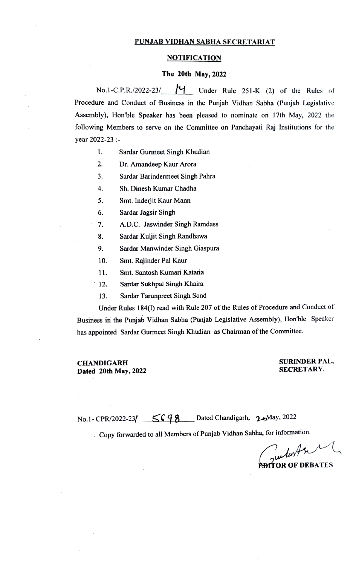#### PUNJAB VIDHAN SABHA SECRETARIAT

#### NOTIFICATION

#### The 20th May, 2022

No.1-C.P.R./2022-23/  $M_{\text{under Rule 251-K (2) of the Rules of}}$ Procedure and Conduct of Business in the Punjab Vidhan Sabha (Punjab Legislative Assembly), Hon'ble Speaker has been pleased to nominate on 17th May, 2022 the following Members to serve on the Committee on Panchayati Raj Institutions for the year 2022-23

1. Sardar Gurmeet Singh Khudian

2. Dr. Amandeep Kaur Arora

3. Sardar Barindermeet Singh Pahra

A. Sh. Dinesh Kumar Chadha

. Smt. Inderjit Kaur Mann

6. Sardar Jagsir Singh

- 1. A.D.C. Jaswinder Singh Ramdass
- 3. Sardar Kuljit Singh Randhawa
- 9. Sardar Manwinder Singh Giaspura
- 10. Smt. Rajinder Pal Kaur
- 11. Smt. Santosh Kumari Kataria
- 12. Sardar Sukhpal Singh Khaira
- 13. Sardar Tarunpreet Singh Sond

Under Rules 184(I) read with Rule 207 of the Rules of Procedure and Conduct of Business in the Punjab Vidhan Sabha (Punjab Legislative Assembly), Hon'ble Speaker has appointed Sardar Gurmeet Singh Khudian as Chairman of the Committe.

CHANDIGARH Dated 20th May, 2022

#### SURINDER PAL, SECRETARY.

No.1-CPR/2022-23/ SG 98 Dated Chandigarh, 20022

.Copy forwarded to all Members of Punjab Vidhan Sabha, for information.

 $4n\pi$ 

EDTTOR OF DEBATES